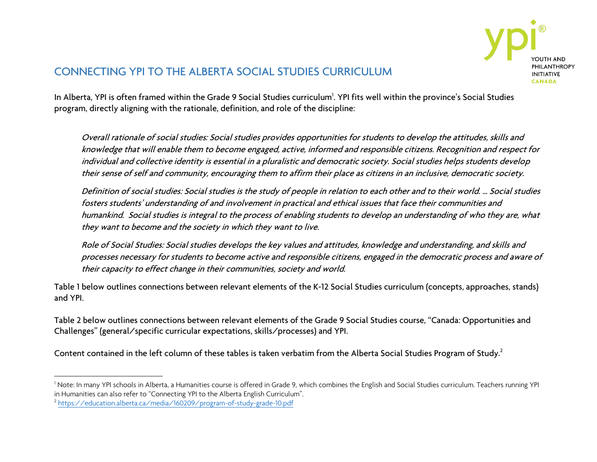

## CONNECTING YPI TO THE ALBERTA SOCIAL STUDIES CURRICULUM

In Alberta, YPI is often framed within the Grade 9 Social Studies curriculum<sup>1</sup>. YPI fits well within the province's Social Studies program, directly aligning with the rationale, definition, and role of the discipline:

Overall rationale of social studies: Social studies provides opportunities for students to develop the attitudes, skills and knowledge that will enable them to become engaged, active, informed and responsible citizens. Recognition and respect for individual and collective identity is essential in a pluralistic and democratic society. Social studies helps students develop their sense of self and community, encouraging them to affirm their place as citizens in an inclusive, democratic society.

Definition of social studies: Social studies is the study of people in relation to each other and to their world. … Social studies fosters students' understanding of and involvement in practical and ethical issues that face their communities and humankind. Social studies is integral to the process of enabling students to develop an understanding of who they are, what they want to become and the society in which they want to live.

Role of Social Studies: Social studies develops the key values and attitudes, knowledge and understanding, and skills and processes necessary for students to become active and responsible citizens, engaged in the democratic process and aware of their capacity to effect change in their communities, society and world.

Table 1 below outlines connections between relevant elements of the K-12 Social Studies curriculum (concepts, approaches, stands) and YPI.

Table 2 below outlines connections between relevant elements of the Grade 9 Social Studies course, "Canada: Opportunities and Challenges" (general/specific curricular expectations, skills/processes) and YPI.

Content contained in the left column of these tables is taken verbatim from the Alberta Social Studies Program of Study.<sup>2</sup>

l

 $^{\rm l}$  Note: In many YPI schools in Alberta, a Humanities course is offered in Grade 9, which combines the English and Social Studies curriculum. Teachers running YPI in Humanities can also refer to "Connecting YPI to the Alberta English Curriculum". 2 <https://education.alberta.ca/media/160209/program-of-study-grade-10.pdf>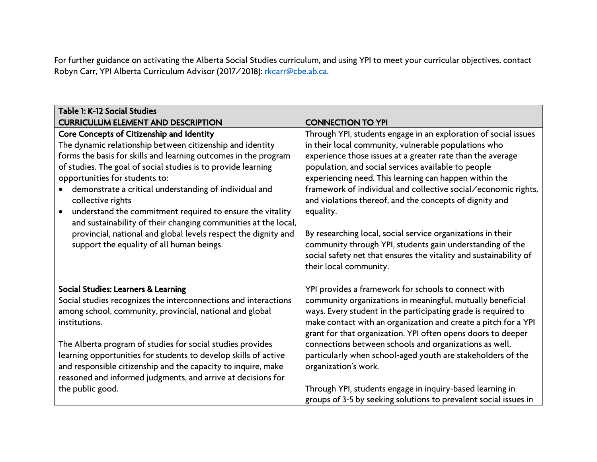For further guidance on activating the Alberta Social Studies curriculum, and using YPI to meet your curricular objectives, contact Robyn Carr, YPI Alberta Curriculum Advisor (2017/2018): [rkcarr@cbe.ab.ca.](mailto:rkcarr@cbe.ab.ca)

| Table 1: K-12 Social Studies                                    |                                                                   |  |
|-----------------------------------------------------------------|-------------------------------------------------------------------|--|
| <b>CURRICULUM ELEMENT AND DESCRIPTION</b>                       | <b>CONNECTION TO YPI</b>                                          |  |
| Core Concepts of Citizenship and Identity                       | Through YPI, students engage in an exploration of social issues   |  |
| The dynamic relationship between citizenship and identity       | in their local community, vulnerable populations who              |  |
| forms the basis for skills and learning outcomes in the program | experience those issues at a greater rate than the average        |  |
| of studies. The goal of social studies is to provide learning   | population, and social services available to people               |  |
| opportunities for students to:                                  | experiencing need. This learning can happen within the            |  |
| demonstrate a critical understanding of individual and          | framework of individual and collective social/economic rights,    |  |
| collective rights                                               | and violations thereof, and the concepts of dignity and           |  |
| understand the commitment required to ensure the vitality       | equality.                                                         |  |
| and sustainability of their changing communities at the local,  |                                                                   |  |
| provincial, national and global levels respect the dignity and  | By researching local, social service organizations in their       |  |
| support the equality of all human beings.                       | community through YPI, students gain understanding of the         |  |
|                                                                 | social safety net that ensures the vitality and sustainability of |  |
|                                                                 | their local community.                                            |  |
| Social Studies: Learners & Learning                             | YPI provides a framework for schools to connect with              |  |
| Social studies recognizes the interconnections and interactions | community organizations in meaningful, mutually beneficial        |  |
| among school, community, provincial, national and global        | ways. Every student in the participating grade is required to     |  |
| institutions.                                                   | make contact with an organization and create a pitch for a YPI    |  |
|                                                                 | grant for that organization. YPI often opens doors to deeper      |  |
| The Alberta program of studies for social studies provides      | connections between schools and organizations as well,            |  |
| learning opportunities for students to develop skills of active | particularly when school-aged youth are stakeholders of the       |  |
| and responsible citizenship and the capacity to inquire, make   | organization's work.                                              |  |
| reasoned and informed judgments, and arrive at decisions for    |                                                                   |  |
| the public good.                                                | Through YPI, students engage in inquiry-based learning in         |  |
|                                                                 | groups of 3-5 by seeking solutions to prevalent social issues in  |  |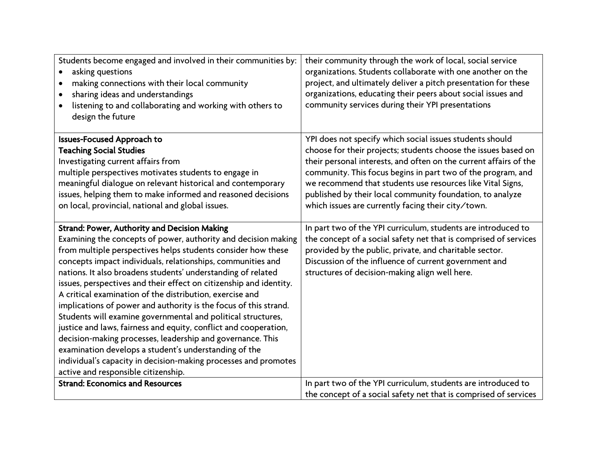| Students become engaged and involved in their communities by:<br>asking questions<br>$\bullet$<br>making connections with their local community<br>$\bullet$<br>sharing ideas and understandings<br>listening to and collaborating and working with others to | their community through the work of local, social service<br>organizations. Students collaborate with one another on the<br>project, and ultimately deliver a pitch presentation for these<br>organizations, educating their peers about social issues and<br>community services during their YPI presentations |
|---------------------------------------------------------------------------------------------------------------------------------------------------------------------------------------------------------------------------------------------------------------|-----------------------------------------------------------------------------------------------------------------------------------------------------------------------------------------------------------------------------------------------------------------------------------------------------------------|
| design the future                                                                                                                                                                                                                                             |                                                                                                                                                                                                                                                                                                                 |
| <b>Issues-Focused Approach to</b>                                                                                                                                                                                                                             | YPI does not specify which social issues students should                                                                                                                                                                                                                                                        |
| <b>Teaching Social Studies</b>                                                                                                                                                                                                                                | choose for their projects; students choose the issues based on                                                                                                                                                                                                                                                  |
| Investigating current affairs from                                                                                                                                                                                                                            | their personal interests, and often on the current affairs of the                                                                                                                                                                                                                                               |
| multiple perspectives motivates students to engage in                                                                                                                                                                                                         | community. This focus begins in part two of the program, and                                                                                                                                                                                                                                                    |
| meaningful dialogue on relevant historical and contemporary                                                                                                                                                                                                   | we recommend that students use resources like Vital Signs,                                                                                                                                                                                                                                                      |
| issues, helping them to make informed and reasoned decisions                                                                                                                                                                                                  | published by their local community foundation, to analyze                                                                                                                                                                                                                                                       |
| on local, provincial, national and global issues.                                                                                                                                                                                                             | which issues are currently facing their city/town.                                                                                                                                                                                                                                                              |
|                                                                                                                                                                                                                                                               |                                                                                                                                                                                                                                                                                                                 |
| <b>Strand: Power, Authority and Decision Making</b>                                                                                                                                                                                                           | In part two of the YPI curriculum, students are introduced to                                                                                                                                                                                                                                                   |
| Examining the concepts of power, authority and decision making                                                                                                                                                                                                | the concept of a social safety net that is comprised of services                                                                                                                                                                                                                                                |
| from multiple perspectives helps students consider how these                                                                                                                                                                                                  | provided by the public, private, and charitable sector.                                                                                                                                                                                                                                                         |
| concepts impact individuals, relationships, communities and                                                                                                                                                                                                   | Discussion of the influence of current government and                                                                                                                                                                                                                                                           |
| nations. It also broadens students' understanding of related                                                                                                                                                                                                  | structures of decision-making align well here.                                                                                                                                                                                                                                                                  |
| issues, perspectives and their effect on citizenship and identity.<br>A critical examination of the distribution, exercise and                                                                                                                                |                                                                                                                                                                                                                                                                                                                 |
| implications of power and authority is the focus of this strand.                                                                                                                                                                                              |                                                                                                                                                                                                                                                                                                                 |
| Students will examine governmental and political structures,                                                                                                                                                                                                  |                                                                                                                                                                                                                                                                                                                 |
| justice and laws, fairness and equity, conflict and cooperation,                                                                                                                                                                                              |                                                                                                                                                                                                                                                                                                                 |
| decision-making processes, leadership and governance. This                                                                                                                                                                                                    |                                                                                                                                                                                                                                                                                                                 |
| examination develops a student's understanding of the                                                                                                                                                                                                         |                                                                                                                                                                                                                                                                                                                 |
| individual's capacity in decision-making processes and promotes                                                                                                                                                                                               |                                                                                                                                                                                                                                                                                                                 |
| active and responsible citizenship.                                                                                                                                                                                                                           |                                                                                                                                                                                                                                                                                                                 |
| <b>Strand: Economics and Resources</b>                                                                                                                                                                                                                        | In part two of the YPI curriculum, students are introduced to                                                                                                                                                                                                                                                   |
|                                                                                                                                                                                                                                                               | the concept of a social safety net that is comprised of services                                                                                                                                                                                                                                                |
|                                                                                                                                                                                                                                                               |                                                                                                                                                                                                                                                                                                                 |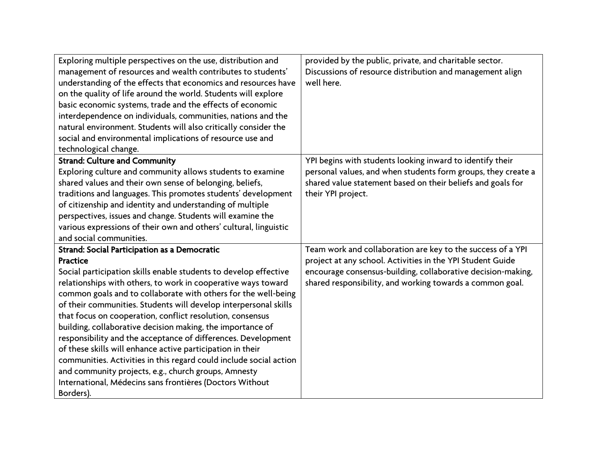| Exploring multiple perspectives on the use, distribution and<br>management of resources and wealth contributes to students'<br>understanding of the effects that economics and resources have<br>on the quality of life around the world. Students will explore<br>basic economic systems, trade and the effects of economic<br>interdependence on individuals, communities, nations and the<br>natural environment. Students will also critically consider the<br>social and environmental implications of resource use and                                                                                                                                                                                                                                                                         | provided by the public, private, and charitable sector.<br>Discussions of resource distribution and management align<br>well here.                                                                                                                     |
|------------------------------------------------------------------------------------------------------------------------------------------------------------------------------------------------------------------------------------------------------------------------------------------------------------------------------------------------------------------------------------------------------------------------------------------------------------------------------------------------------------------------------------------------------------------------------------------------------------------------------------------------------------------------------------------------------------------------------------------------------------------------------------------------------|--------------------------------------------------------------------------------------------------------------------------------------------------------------------------------------------------------------------------------------------------------|
| technological change.                                                                                                                                                                                                                                                                                                                                                                                                                                                                                                                                                                                                                                                                                                                                                                                |                                                                                                                                                                                                                                                        |
| <b>Strand: Culture and Community</b><br>Exploring culture and community allows students to examine<br>shared values and their own sense of belonging, beliefs,<br>traditions and languages. This promotes students' development<br>of citizenship and identity and understanding of multiple<br>perspectives, issues and change. Students will examine the<br>various expressions of their own and others' cultural, linguistic<br>and social communities.                                                                                                                                                                                                                                                                                                                                           | YPI begins with students looking inward to identify their<br>personal values, and when students form groups, they create a<br>shared value statement based on their beliefs and goals for<br>their YPI project.                                        |
| Strand: Social Participation as a Democratic<br>Practice<br>Social participation skills enable students to develop effective<br>relationships with others, to work in cooperative ways toward<br>common goals and to collaborate with others for the well-being<br>of their communities. Students will develop interpersonal skills<br>that focus on cooperation, conflict resolution, consensus<br>building, collaborative decision making, the importance of<br>responsibility and the acceptance of differences. Development<br>of these skills will enhance active participation in their<br>communities. Activities in this regard could include social action<br>and community projects, e.g., church groups, Amnesty<br>International, Médecins sans frontières (Doctors Without<br>Borders). | Team work and collaboration are key to the success of a YPI<br>project at any school. Activities in the YPI Student Guide<br>encourage consensus-building, collaborative decision-making,<br>shared responsibility, and working towards a common goal. |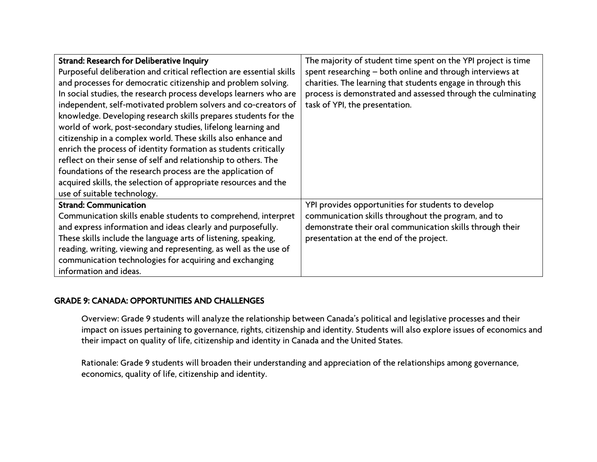| <b>Strand: Research for Deliberative Inquiry</b>                     | The majority of student time spent on the YPI project is time |
|----------------------------------------------------------------------|---------------------------------------------------------------|
| Purposeful deliberation and critical reflection are essential skills | spent researching - both online and through interviews at     |
| and processes for democratic citizenship and problem solving.        | charities. The learning that students engage in through this  |
| In social studies, the research process develops learners who are    | process is demonstrated and assessed through the culminating  |
| independent, self-motivated problem solvers and co-creators of       | task of YPI, the presentation.                                |
| knowledge. Developing research skills prepares students for the      |                                                               |
| world of work, post-secondary studies, lifelong learning and         |                                                               |
| citizenship in a complex world. These skills also enhance and        |                                                               |
| enrich the process of identity formation as students critically      |                                                               |
| reflect on their sense of self and relationship to others. The       |                                                               |
| foundations of the research process are the application of           |                                                               |
| acquired skills, the selection of appropriate resources and the      |                                                               |
| use of suitable technology.                                          |                                                               |
| <b>Strand: Communication</b>                                         | YPI provides opportunities for students to develop            |
| Communication skills enable students to comprehend, interpret        | communication skills throughout the program, and to           |
| and express information and ideas clearly and purposefully.          | demonstrate their oral communication skills through their     |
| These skills include the language arts of listening, speaking,       | presentation at the end of the project.                       |
| reading, writing, viewing and representing, as well as the use of    |                                                               |
| communication technologies for acquiring and exchanging              |                                                               |
| information and ideas.                                               |                                                               |

## GRADE 9: CANADA: OPPORTUNITIES AND CHALLENGES

Overview: Grade 9 students will analyze the relationship between Canada's political and legislative processes and their impact on issues pertaining to governance, rights, citizenship and identity. Students will also explore issues of economics and their impact on quality of life, citizenship and identity in Canada and the United States.

Rationale: Grade 9 students will broaden their understanding and appreciation of the relationships among governance, economics, quality of life, citizenship and identity.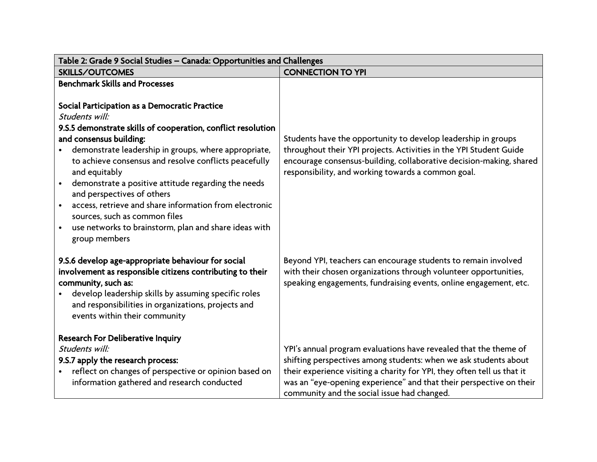| Table 2: Grade 9 Social Studies - Canada: Opportunities and Challenges                                                                                                                                                                                                                                                                                                                                                                                                                                                                                                                      |                                                                                                                                                                                                                                                                                                                                       |  |
|---------------------------------------------------------------------------------------------------------------------------------------------------------------------------------------------------------------------------------------------------------------------------------------------------------------------------------------------------------------------------------------------------------------------------------------------------------------------------------------------------------------------------------------------------------------------------------------------|---------------------------------------------------------------------------------------------------------------------------------------------------------------------------------------------------------------------------------------------------------------------------------------------------------------------------------------|--|
| <b>SKILLS/OUTCOMES</b>                                                                                                                                                                                                                                                                                                                                                                                                                                                                                                                                                                      | <b>CONNECTION TO YPI</b>                                                                                                                                                                                                                                                                                                              |  |
| <b>Benchmark Skills and Processes</b><br>Social Participation as a Democratic Practice<br>Students will:<br>9.S.5 demonstrate skills of cooperation, conflict resolution<br>and consensus building:<br>demonstrate leadership in groups, where appropriate,<br>to achieve consensus and resolve conflicts peacefully<br>and equitably<br>demonstrate a positive attitude regarding the needs<br>and perspectives of others<br>access, retrieve and share information from electronic<br>sources, such as common files<br>use networks to brainstorm, plan and share ideas with<br>$\bullet$ | Students have the opportunity to develop leadership in groups<br>throughout their YPI projects. Activities in the YPI Student Guide<br>encourage consensus-building, collaborative decision-making, shared<br>responsibility, and working towards a common goal.                                                                      |  |
| group members<br>9.S.6 develop age-appropriate behaviour for social<br>involvement as responsible citizens contributing to their<br>community, such as:<br>develop leadership skills by assuming specific roles<br>and responsibilities in organizations, projects and<br>events within their community                                                                                                                                                                                                                                                                                     | Beyond YPI, teachers can encourage students to remain involved<br>with their chosen organizations through volunteer opportunities,<br>speaking engagements, fundraising events, online engagement, etc.                                                                                                                               |  |
| <b>Research For Deliberative Inquiry</b><br>Students will:<br>9.S.7 apply the research process:<br>reflect on changes of perspective or opinion based on<br>information gathered and research conducted                                                                                                                                                                                                                                                                                                                                                                                     | YPI's annual program evaluations have revealed that the theme of<br>shifting perspectives among students: when we ask students about<br>their experience visiting a charity for YPI, they often tell us that it<br>was an "eye-opening experience" and that their perspective on their<br>community and the social issue had changed. |  |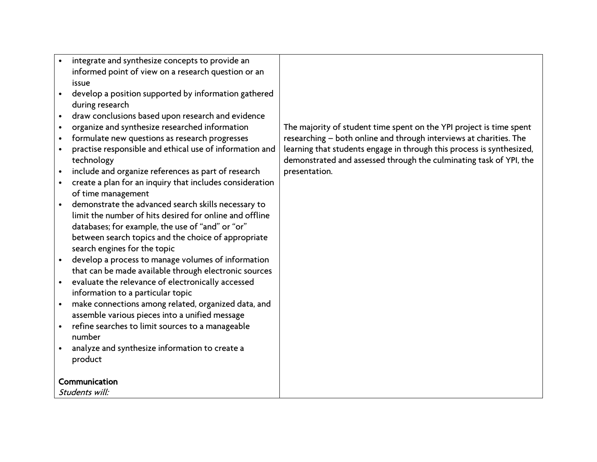- integrate and synthesize concepts to provide an informed point of view on a research question or an issue
- develop a position supported by information gathered during research
- draw conclusions based upon research and evidence
- organize and synthesize researched information
- formulate new questions as research progresses
- practise responsible and ethical use of information and technology
- include and organize references as part of research
- create a plan for an inquiry that includes consideration of time management
- demonstrate the advanced search skills necessary to limit the number of hits desired for online and offline databases; for example, the use of "and" or "or" between search topics and the choice of appropriate search engines for the topic
- develop a process to manage volumes of information that can be made available through electronic sources
- evaluate the relevance of electronically accessed information to a particular topic
- make connections among related, organized data, and assemble various pieces into a unified message
- refine searches to limit sources to a manageable number
- analyze and synthesize information to create a product

## Communication

Students will:

The majority of student time spent on the YPI project is time spent researching – both online and through interviews at charities. The learning that students engage in through this process is synthesized, demonstrated and assessed through the culminating task of YPI, the presentation.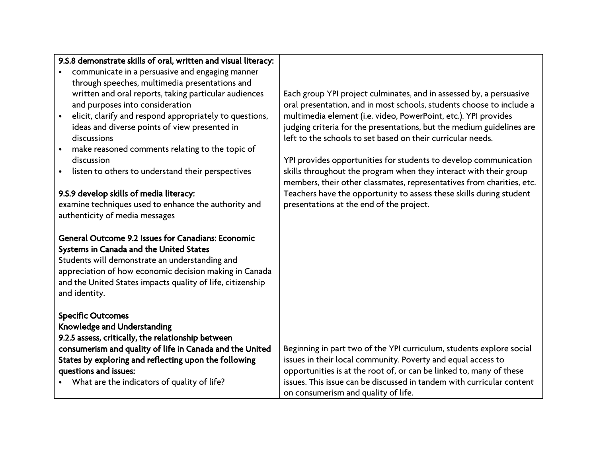| 9.S.8 demonstrate skills of oral, written and visual literacy:<br>communicate in a persuasive and engaging manner<br>through speeches, multimedia presentations and<br>written and oral reports, taking particular audiences<br>and purposes into consideration<br>elicit, clarify and respond appropriately to questions,<br>$\bullet$<br>ideas and diverse points of view presented in<br>discussions<br>make reasoned comments relating to the topic of<br>discussion<br>listen to others to understand their perspectives<br>9.S.9 develop skills of media literacy:<br>examine techniques used to enhance the authority and<br>authenticity of media messages | Each group YPI project culminates, and in assessed by, a persuasive<br>oral presentation, and in most schools, students choose to include a<br>multimedia element (i.e. video, PowerPoint, etc.). YPI provides<br>judging criteria for the presentations, but the medium guidelines are<br>left to the schools to set based on their curricular needs.<br>YPI provides opportunities for students to develop communication<br>skills throughout the program when they interact with their group<br>members, their other classmates, representatives from charities, etc.<br>Teachers have the opportunity to assess these skills during student<br>presentations at the end of the project. |
|--------------------------------------------------------------------------------------------------------------------------------------------------------------------------------------------------------------------------------------------------------------------------------------------------------------------------------------------------------------------------------------------------------------------------------------------------------------------------------------------------------------------------------------------------------------------------------------------------------------------------------------------------------------------|---------------------------------------------------------------------------------------------------------------------------------------------------------------------------------------------------------------------------------------------------------------------------------------------------------------------------------------------------------------------------------------------------------------------------------------------------------------------------------------------------------------------------------------------------------------------------------------------------------------------------------------------------------------------------------------------|
| General Outcome 9.2 Issues for Canadians: Economic<br>Systems in Canada and the United States<br>Students will demonstrate an understanding and<br>appreciation of how economic decision making in Canada<br>and the United States impacts quality of life, citizenship<br>and identity.                                                                                                                                                                                                                                                                                                                                                                           |                                                                                                                                                                                                                                                                                                                                                                                                                                                                                                                                                                                                                                                                                             |
| <b>Specific Outcomes</b><br><b>Knowledge and Understanding</b><br>9.2.5 assess, critically, the relationship between<br>consumerism and quality of life in Canada and the United<br>States by exploring and reflecting upon the following<br>questions and issues:<br>What are the indicators of quality of life?                                                                                                                                                                                                                                                                                                                                                  | Beginning in part two of the YPI curriculum, students explore social<br>issues in their local community. Poverty and equal access to<br>opportunities is at the root of, or can be linked to, many of these<br>issues. This issue can be discussed in tandem with curricular content<br>on consumerism and quality of life.                                                                                                                                                                                                                                                                                                                                                                 |